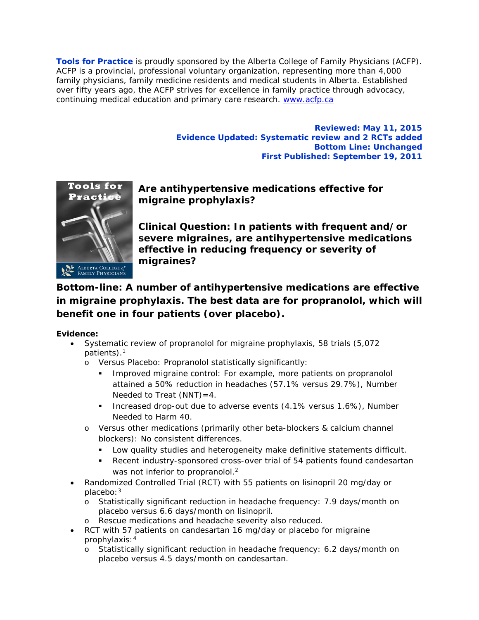**Tools for Practice** is proudly sponsored by the Alberta College of Family Physicians (ACFP). ACFP is a provincial, professional voluntary organization, representing more than 4,000 family physicians, family medicine residents and medical students in Alberta. Established over fifty years ago, the ACFP strives for excellence in family practice through advocacy, continuing medical education and primary care research. [www.acfp.ca](http://r20.rs6.net/tn.jsp?llr=j5jhyecab&et=1106581339886&s=0&e=0018HsPjNJAVitI8Ray9i14VUEPh8QgRLpopT1hs0e5ZuwGPqGnH9-N6tL_UP5LTij9cP43lHBva_IRi6MMeFppG6SamR3ro1dGo2mwyQcV95k=)

> **Reviewed: May 11, 2015 Evidence Updated: Systematic review and 2 RCTs added Bottom Line: Unchanged First Published: September 19, 2011**



**Are antihypertensive medications effective for migraine prophylaxis?**

**Clinical Question: In patients with frequent and/or severe migraines, are antihypertensive medications effective in reducing frequency or severity of migraines?**

# **Bottom-line: A number of antihypertensive medications are effective in migraine prophylaxis. The best data are for propranolol, which will benefit one in four patients (over placebo).**

## **Evidence:**

- Systematic review of propranolol for migraine prophylaxis, 58 trials (5,072 patients).1
	- o Versus Placebo: Propranolol statistically significantly:
		- Improved migraine control: For example, more patients on propranolol attained a 50% reduction in headaches (57.1% versus 29.7%), Number Needed to Treat  $(NNT) = 4$ .
		- Increased drop-out due to adverse events (4.1% versus 1.6%), Number Needed to Harm 40.
	- o Versus other medications (primarily other beta-blockers & calcium channel blockers): No consistent differences.
		- Low quality studies and heterogeneity make definitive statements difficult.
		- Recent industry-sponsored cross-over trial of 54 patients found candesartan was not inferior to propranolol.<sup>2</sup>
- Randomized Controlled Trial (RCT) with 55 patients on lisinopril 20 mg/day or placebo:3
	- o Statistically significant reduction in headache frequency: 7.9 days/month on placebo versus 6.6 days/month on lisinopril.
	- o Rescue medications and headache severity also reduced.
- RCT with 57 patients on candesartan 16 mg/day or placebo for migraine prophylaxis:4
	- o Statistically significant reduction in headache frequency: 6.2 days/month on placebo versus 4.5 days/month on candesartan.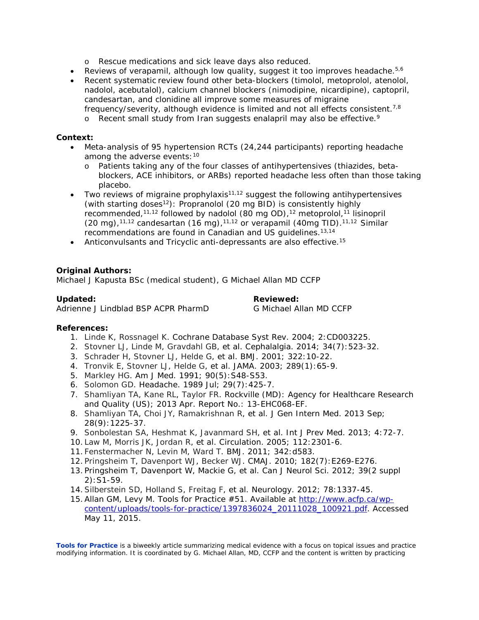- o Rescue medications and sick leave days also reduced.
- Reviews of verapamil, although low quality, suggest it too improves headache.  $5.6$
- Recent systematic review found other beta-blockers (timolol, metoprolol, atenolol, nadolol, acebutalol), calcium channel blockers (nimodipine, nicardipine), captopril, candesartan, and clonidine all improve some measures of migraine frequency/severity, although evidence is limited and not all effects consistent.<sup>7,8</sup>
	- $\circ$  Recent small study from Iran suggests enalapril may also be effective.<sup>9</sup>

#### **Context:**

- Meta-analysis of 95 hypertension RCTs (24,244 participants) reporting headache among the adverse events: 10
	- o Patients taking any of the four classes of antihypertensives (thiazides, betablockers, ACE inhibitors, or ARBs) reported headache less often than those taking placebo.
- Two reviews of migraine prophylaxis<sup>11,12</sup> suggest the following antihypertensives (with starting doses<sup>12</sup>): Propranolol (20 mg BID) is consistently highly recommended,<sup>11,12</sup> followed by nadolol (80 mg OD),<sup>12</sup> metoprolol,<sup>11</sup> lisinopril (20 mg),<sup>11,12</sup> candesartan (16 mg),<sup>11,12</sup> or verapamil (40mg TID).<sup>11,12</sup> Similar recommendations are found in Canadian and US guidelines.13,14
- Anticonvulsants and Tricyclic anti-depressants are also effective.<sup>15</sup>

### **Original Authors:**

Michael J Kapusta BSc (medical student), G Michael Allan MD CCFP

Adrienne J Lindblad BSP ACPR PharmD G Michael Allan MD CCFP

**Updated: Reviewed:**

#### **References:**

- 1. [Linde K,](http://www.ncbi.nlm.nih.gov/pubmed/?term=Linde%20K%5BAuthor%5D&cauthor=true&cauthor_uid=15106196) [Rossnagel K.](http://www.ncbi.nlm.nih.gov/pubmed/?term=Rossnagel%20K%5BAuthor%5D&cauthor=true&cauthor_uid=15106196) Cochrane Database Syst Rev. 2004; 2:CD003225.
- 2. [Stovner LJ,](http://www.ncbi.nlm.nih.gov/pubmed/?term=Stovner%20LJ%5BAuthor%5D&cauthor=true&cauthor_uid=24335848) [Linde M,](http://www.ncbi.nlm.nih.gov/pubmed/?term=Linde%20M%5BAuthor%5D&cauthor=true&cauthor_uid=24335848) [Gravdahl GB,](http://www.ncbi.nlm.nih.gov/pubmed/?term=Gravdahl%20GB%5BAuthor%5D&cauthor=true&cauthor_uid=24335848) *et al*. Cephalalgia. 2014; 34(7):523-32.
- 3. [Schrader H,](http://www.ncbi.nlm.nih.gov/pubmed/?term=Schrader%20H%5BAuthor%5D&cauthor=true&cauthor_uid=11141144) [Stovner LJ,](http://www.ncbi.nlm.nih.gov/pubmed/?term=Stovner%20LJ%5BAuthor%5D&cauthor=true&cauthor_uid=11141144) [Helde G,](http://www.ncbi.nlm.nih.gov/pubmed/?term=Helde%20G%5BAuthor%5D&cauthor=true&cauthor_uid=11141144) *et al*. BMJ. 2001; 322:10-22.
- 4. [Tronvik E,](http://www.ncbi.nlm.nih.gov/pubmed/?term=Tronvik%20E%5BAuthor%5D&cauthor=true&cauthor_uid=12503978) [Stovner LJ,](http://www.ncbi.nlm.nih.gov/pubmed/?term=Stovner%20LJ%5BAuthor%5D&cauthor=true&cauthor_uid=12503978) [Helde G,](http://www.ncbi.nlm.nih.gov/pubmed/?term=Helde%20G%5BAuthor%5D&cauthor=true&cauthor_uid=12503978) *et al*. JAMA. 2003; 289(1):65-9.
- 5. [Markley HG.](http://www.ncbi.nlm.nih.gov/pubmed/?term=Markley%20HG%5BAuthor%5D&cauthor=true&cauthor_uid=2039020) Am J Med. 1991; 90(5):S48-S53.
- 6. [Solomon GD.](http://www.ncbi.nlm.nih.gov/pubmed/?term=Solomon%20GD%5BAuthor%5D&cauthor=true&cauthor_uid=2668225) Headache. 1989 Jul; 29(7):425-7.
- 7. [Shamliyan TA,](http://www.ncbi.nlm.nih.gov/pubmed?term=Shamliyan%20TA%5BAuthor%5D&cauthor=true&cauthor_uid=23700633) [Kane RL,](http://www.ncbi.nlm.nih.gov/pubmed?term=Kane%20RL%5BAuthor%5D&cauthor=true&cauthor_uid=23700633) [Taylor FR.](http://www.ncbi.nlm.nih.gov/pubmed?term=Taylor%20FR%5BAuthor%5D&cauthor=true&cauthor_uid=23700633) Rockville (MD): Agency for Healthcare Research and Quality (US); 2013 Apr. Report No.: 13-EHC068-EF.
- 8. [Shamliyan TA,](http://www.ncbi.nlm.nih.gov/pubmed/?term=Shamliyan%20TA%5BAuthor%5D&cauthor=true&cauthor_uid=23592242) [Choi JY,](http://www.ncbi.nlm.nih.gov/pubmed/?term=Choi%20JY%5BAuthor%5D&cauthor=true&cauthor_uid=23592242) [Ramakrishnan R,](http://www.ncbi.nlm.nih.gov/pubmed/?term=Ramakrishnan%20R%5BAuthor%5D&cauthor=true&cauthor_uid=23592242) *et al*. J Gen Intern Med. 2013 Sep; 28(9):1225-37.
- 9. [Sonbolestan SA,](http://www.ncbi.nlm.nih.gov/pubmed/?term=Sonbolestan%20SA%5BAuthor%5D&cauthor=true&cauthor_uid=23413003) [Heshmat](http://www.ncbi.nlm.nih.gov/pubmed/?term=Heshmat%20K%5BAuthor%5D&cauthor=true&cauthor_uid=23413003) K, [Javanmard SH,](http://www.ncbi.nlm.nih.gov/pubmed/?term=Javanmard%20SH%5BAuthor%5D&cauthor=true&cauthor_uid=23413003) *et al*. Int J Prev Med. 2013; 4:72-7.
- 10. [Law M,](http://www.ncbi.nlm.nih.gov/pubmed/?term=Law%20M%5BAuthor%5D&cauthor=true&cauthor_uid=16216977) [Morris JK,](http://www.ncbi.nlm.nih.gov/pubmed/?term=Morris%20JK%5BAuthor%5D&cauthor=true&cauthor_uid=16216977) [Jordan R,](http://www.ncbi.nlm.nih.gov/pubmed/?term=Jordan%20R%5BAuthor%5D&cauthor=true&cauthor_uid=16216977) *et al*. Circulation. 2005; 112:2301-6.
- 11. [Fenstermacher N,](http://www.ncbi.nlm.nih.gov/pubmed/?term=Fenstermacher%20N%5BAuthor%5D&cauthor=true&cauthor_uid=21335409) [Levin M,](http://www.ncbi.nlm.nih.gov/pubmed/?term=Levin%20M%5BAuthor%5D&cauthor=true&cauthor_uid=21335409) [Ward T.](http://www.ncbi.nlm.nih.gov/pubmed/?term=Ward%20T%5BAuthor%5D&cauthor=true&cauthor_uid=21335409) BMJ. 2011; 342:d583.
- 12. [Pringsheim T,](http://www.ncbi.nlm.nih.gov/pubmed/?term=Pringsheim%20T%5BAuthor%5D&cauthor=true&cauthor_uid=20159899) [Davenport WJ,](http://www.ncbi.nlm.nih.gov/pubmed/?term=Davenport%20WJ%5BAuthor%5D&cauthor=true&cauthor_uid=20159899) [Becker WJ.](http://www.ncbi.nlm.nih.gov/pubmed/?term=Becker%20WJ%5BAuthor%5D&cauthor=true&cauthor_uid=20159899) CMAJ. 2010; 182(7):E269-E276.
- 13. Pringsheim T, Davenport W, Mackie G, *et al*. Can J Neurol Sci. 2012; 39(2 suppl 2):S1-59.
- 14[.Silberstein SD,](http://www.ncbi.nlm.nih.gov/pubmed/?term=Silberstein%20SD%5BAuthor%5D&cauthor=true&cauthor_uid=22529202) [Holland S,](http://www.ncbi.nlm.nih.gov/pubmed/?term=Holland%20S%5BAuthor%5D&cauthor=true&cauthor_uid=22529202) [Freitag F,](http://www.ncbi.nlm.nih.gov/pubmed/?term=Freitag%20F%5BAuthor%5D&cauthor=true&cauthor_uid=22529202) *et al*. Neurology. 2012; 78:1337-45.
- 15. Allan GM, Levy M. Tools for Practice #51. Available at [http://www.acfp.ca/wp](http://www.acfp.ca/wp-content/uploads/tools-for-practice/1397836024_20111028_100921.pdf)[content/uploads/tools-for-practice/1397836024\\_20111028\\_100921.pdf.](http://www.acfp.ca/wp-content/uploads/tools-for-practice/1397836024_20111028_100921.pdf) Accessed May 11, 2015.

**Tools for Practice** is a biweekly article summarizing medical evidence with a focus on topical issues and practice modifying information. It is coordinated by G. Michael Allan, MD, CCFP and the content is written by practicing